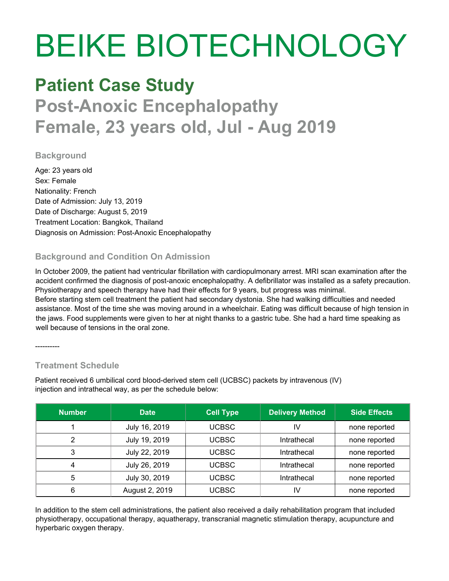# BEIKE BIOTECHNOLOGY

### **Patient Case Study**

## **Post-Anoxic Encephalopathy Female, 23 years old, Jul - Aug 2019**

#### **Background**

Age: 23 years old Sex: Female Nationality: French Date of Admission: July 13, 2019 Date of Discharge: August 5, 2019 Treatment Location: Bangkok, Thailand Diagnosis on Admission: Post-Anoxic Encephalopathy

#### **Background and Condition On Admission**

In October 2009, the patient had ventricular fibrillation with cardiopulmonary arrest. MRI scan examination after the accident confirmed the diagnosis of post-anoxic encephalopathy. A defibrillator was installed as a safety precaution. Physiotherapy and speech therapy have had their effects for 9 years, but progress was minimal. Before starting stem cell treatment the patient had secondary dystonia. She had walking difficulties and needed assistance. Most of the time she was moving around in a wheelchair. Eating was difficult because of high tension in the jaws. Food supplements were given to her at night thanks to a gastric tube. She had a hard time speaking as well because of tensions in the oral zone.

----------

#### **Treatment Schedule**

Patient received 6 umbilical cord blood-derived stem cell (UCBSC) packets by intravenous (IV) injection and intrathecal way, as per the schedule below:

| <b>Number</b> | <b>Date</b>    | <b>Cell Type</b> | <b>Delivery Method</b> | <b>Side Effects</b> |
|---------------|----------------|------------------|------------------------|---------------------|
|               | July 16, 2019  | UCBSC            | IV                     | none reported       |
|               | July 19, 2019  | UCBSC            | Intrathecal            | none reported       |
| 3             | July 22, 2019  | <b>UCBSC</b>     | Intrathecal            | none reported       |
|               | July 26, 2019  | UCBSC            | Intrathecal            | none reported       |
| 5             | July 30, 2019  | UCBSC            | Intrathecal            | none reported       |
| 6             | August 2, 2019 | <b>UCBSC</b>     | I٧                     | none reported       |

In addition to the stem cell administrations, the patient also received a daily rehabilitation program that included physiotherapy, occupational therapy, aquatherapy, transcranial magnetic stimulation therapy, acupuncture and hyperbaric oxygen therapy.